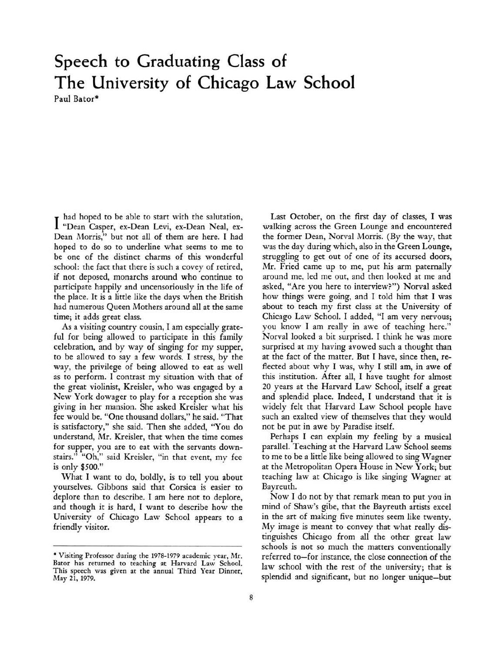## Speech to Graduating Class of The University of Chicago Law School Paul Bator\*

I had hoped to be able to start with the salutation;<br>"Dean Casper, ex-Dean Levi, ex-Dean Neal, exhad hoped to be able to start with the salutation, Dean Morris," but not all of them are here. I had hoped to do so to underline what seems to me to be one of the distinct charms of this wonderful school: the fact that there is such a covey of retired, if not deposed, monarchs around who continue to participate happily and uncensoriously in the life of the place. It is <sup>a</sup> little like the days when the British had numerous Queen Mothers around all at the same time; it adds great class.

As <sup>a</sup> visiting country cousin, I am especially grateful for being allowed to participate in this family celebration, and by way of singing for my supper, to be allowed to say <sup>a</sup> few words. I stress, by the way, the privilege of being allowed to eat as well as to perform. I contrast my situation with that of the great violinist, Kreisler, who was engaged by <sup>a</sup> New York dowager to play for <sup>a</sup> reception she was giving in her niansion. She asked Kreisler what his fee would be. "One thousand dollars," he said. "That is satisfactory," she said. Then she added, "You do understand, Mr. Kreisler, that when the time comes for supper, you are to eat with the servants downstairs." "Oh," said Kreisler, "in that event, my fee is only \$500."

What I want to do, boldly, is to tell you about yourselves. Gibbons said that Corsica is easier to deplore than to describe. I am here not to deplore, and though it is hard, I want to describe how the University of Chicago Law School appears to <sup>a</sup> friendly visitor.

Last October, on the first day of classes, I was walking across the Green Lounge and encountered the former Dean, Norval Morris. (By the way, that was the day during which, also in the Green Lounge, struggling to get out of one of its accursed doors, Mr. Fried came up to me, put his arm paternally around me, led me out, and then looked at me and asked, "Are you here to interview?") Norval asked how things were going, and I told him that I was about to teach my first class at the University of Chicago Law School. I added, "I am very nervous; you know I am really in awe of teaching here." Norval looked <sup>a</sup> bit surprised. I think he was more surprised at my having avowed such <sup>a</sup> thought than at the fact of the matter. But I have, since then, reflected about why I was, why I still am, in awe of this institution. After all, I have taught for almost <sup>20</sup> years at the Harvard Law School, itself <sup>a</sup> great and splendid place. Indeed, I understand that it is widely felt that Harvard Law School people have such an exalted view of themselves that they would not be put in awe by Paradise itself.

Perhaps I can explain my feeling by <sup>a</sup> musical parallel. Teaching at the Harvard Law School seems to me to be <sup>a</sup> little like being allowed to sing Wagner at the Metropolitan Opera House in New York; but teaching law at Chicago is like singing Wagner at Bayreuth.

Now I do not by that remark mean to put you in mind of Shaw's gibe, that the Bayreuth artists excel in the art of making five minutes seem like twenty. My image is meant to convey that what really distinguishes Chicago from all the other great law schools is not so much the matters conventionally referred to-for instance, the close connection of the law school with the rest of the university; that is splendid and significant, but no longer unique-but

<sup>•</sup> Visiting Professor during the 1978-1979 academic year, Mr. Bator has returned to teaching at Harvard Law School. This speech was given at the annual Third Year Dinner, May 21, 1979.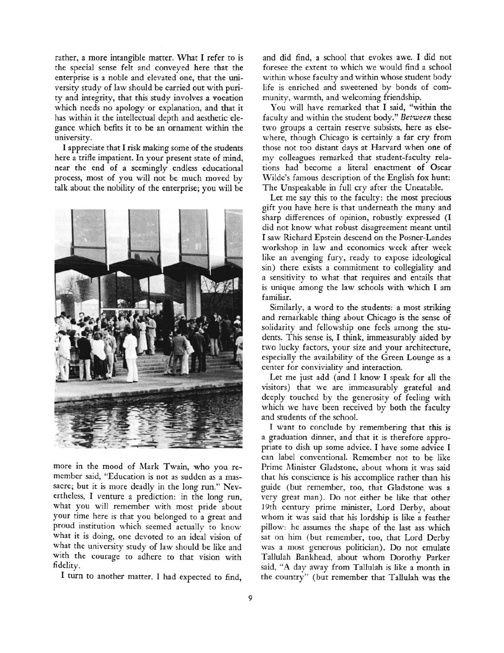rather, <sup>a</sup> more intangible matter. What I refer to is the special sense felt and conveyed here that the enterprise is <sup>a</sup> noble and elevated one, that the university study of law should be carried out with purity and integrity, that this study involves <sup>a</sup> vocation which needs no apology or explanation, and that it has within it the intellectual depth and aesthetic elegance which befits it to be an ornament within the university.

I appreciate that I risk making some of the students here <sup>a</sup> trifle impatient. In your present state of mind, near the end of <sup>a</sup> seemingly endless educational process, most of you will not be much moved by talk about the nobility of the enterprise; you will be



more in the mood of Mark Twain, who you remember said, "Education is not as sudden as <sup>a</sup> massacre; but it is more deadly in the long run." Nevertheless, I venture <sup>a</sup> prediction: in the long run, what you will remember with most pride about your time here is that you belonged to <sup>a</sup> great and proud institution which seemed actually to know what it is doing, one devoted to an ideal vision of what the university study of law should be like and with the courage to adhere to that vision with fidelity.

<sup>I</sup> turn to another matter. I had expected to find,

and did find, <sup>a</sup> school that evokes awe. I did not foresee the extent to which we would find <sup>a</sup> school within whose faculty and within whose student body life is enriched and sweetened by bonds of community, warmth, and welcoming friendship.

You will have remarked that I said, "within the faculty and within the student body." Between these two groups <sup>a</sup> certain reserve subsists, here as elsewhere, though Chicago is certainly <sup>a</sup> far cry from those not too distant days at Harvard when one of my colleagues remarked that student-faculty relations had become <sup>a</sup> literal enactment of Oscar Wilde's famous description of the English fox hunt: The Unspeakable in full cry after the Uneatable.

Let me say this to the faculty: the most precious gift you have here is that underneath the many and sharp differences of opinion, robustly expressed (I did not know what robust disagreement meant until I saw Richard Epstein descend on the Posner-Landes workshop in law and economics week after week like an avenging fury, ready to expose ideological sin) there exists <sup>a</sup> commitment to collegiality and <sup>a</sup> sensitivity to what that requires and entails that is unique among the law schools with which I am familiar.

Similarly, <sup>a</sup> word to the students: <sup>a</sup> most striking and remarkable thing about Chicago is the sense of solidarity and fellowship one feels among the students. This sense is, I think, immeasurably aided by two lucky factors, your size and your architecture, especially the availability of the Green Lounge as <sup>a</sup> center for conviviality and interaction.

Let me just add (and I know I speak for all the visitors) that we are immeasurably grateful and deeply touched by the generosity of feeling with which we have been received by both the faculty and students of the school.

I want to conclude by remembering that this is <sup>a</sup> graduation dinner, and that it is therefore appropriate to dish up some advice. I have some advice I can label conventional. Remember not to be like Prime Minister Gladstone, about whom it was said that his conscience is his accomplice rather than his guide (but remember, too, that Gladstone was <sup>a</sup> very great man). Do not either be like that other 19th century prime minister, Lord Derby, about whom it was said that his lordship is like <sup>a</sup> feather pillow: he assumes the shape of the last ass which sat on him (but remember, too, that Lord Derby was <sup>a</sup> most generous politician). Do not emulate Tallulah Bankhead, about whom Dorothy Parker said, "A day away from Tallulah is like <sup>a</sup> month in the country" (but remember that Tallulah was the